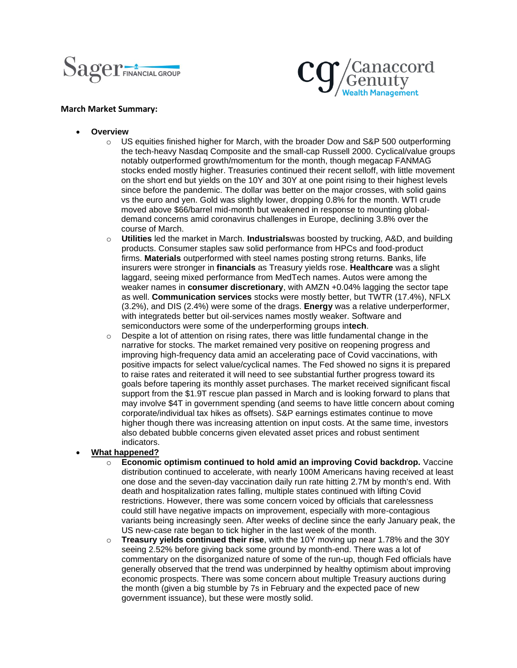



## **March Market Summary:**

- **Overview**
	- $\circ$  US equities finished higher for March, with the broader Dow and S&P 500 outperforming the tech-heavy Nasdaq Composite and the small-cap Russell 2000. Cyclical/value groups notably outperformed growth/momentum for the month, though megacap FANMAG stocks ended mostly higher. Treasuries continued their recent selloff, with little movement on the short end but yields on the 10Y and 30Y at one point rising to their highest levels since before the pandemic. The dollar was better on the major crosses, with solid gains vs the euro and yen. Gold was slightly lower, dropping 0.8% for the month. WTI crude moved above \$66/barrel mid-month but weakened in response to mounting globaldemand concerns amid coronavirus challenges in Europe, declining 3.8% over the course of March.
	- o **Utilities** led the market in March. **Industrials**was boosted by trucking, A&D, and building products. Consumer staples saw solid performance from HPCs and food-product firms. **Materials** outperformed with steel names posting strong returns. Banks, life insurers were stronger in **financials** as Treasury yields rose. **Healthcare** was a slight laggard, seeing mixed performance from MedTech names. Autos were among the weaker names in **consumer discretionary**, with AMZN +0.04% lagging the sector tape as well. **Communication services** stocks were mostly better, but TWTR (17.4%), NFLX (3.2%), and DIS (2.4%) were some of the drags. **Energy** was a relative underperformer, with integrateds better but oil-services names mostly weaker. Software and semiconductors were some of the underperforming groups in**tech**.
	- $\circ$  Despite a lot of attention on rising rates, there was little fundamental change in the narrative for stocks. The market remained very positive on reopening progress and improving high-frequency data amid an accelerating pace of Covid vaccinations, with positive impacts for select value/cyclical names. The Fed showed no signs it is prepared to raise rates and reiterated it will need to see substantial further progress toward its goals before tapering its monthly asset purchases. The market received significant fiscal support from the \$1.9T rescue plan passed in March and is looking forward to plans that may involve \$4T in government spending (and seems to have little concern about coming corporate/individual tax hikes as offsets). S&P earnings estimates continue to move higher though there was increasing attention on input costs. At the same time, investors also debated bubble concerns given elevated asset prices and robust sentiment indicators.

## • **What happened?**

- o **Economic optimism continued to hold amid an improving Covid backdrop.** Vaccine distribution continued to accelerate, with nearly 100M Americans having received at least one dose and the seven-day vaccination daily run rate hitting 2.7M by month's end. With death and hospitalization rates falling, multiple states continued with lifting Covid restrictions. However, there was some concern voiced by officials that carelessness could still have negative impacts on improvement, especially with more-contagious variants being increasingly seen. After weeks of decline since the early January peak, the US new-case rate began to tick higher in the last week of the month.
- o **Treasury yields continued their rise**, with the 10Y moving up near 1.78% and the 30Y seeing 2.52% before giving back some ground by month-end. There was a lot of commentary on the disorganized nature of some of the run-up, though Fed officials have generally observed that the trend was underpinned by healthy optimism about improving economic prospects. There was some concern about multiple Treasury auctions during the month (given a big stumble by 7s in February and the expected pace of new government issuance), but these were mostly solid.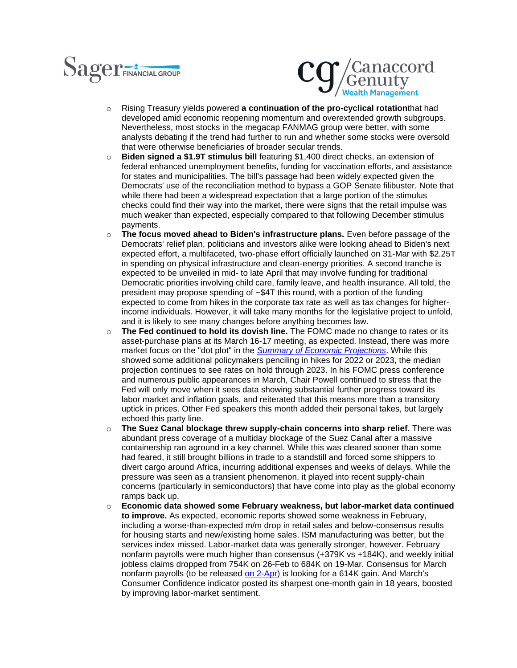



- o Rising Treasury yields powered **a continuation of the pro-cyclical rotation**that had developed amid economic reopening momentum and overextended growth subgroups. Nevertheless, most stocks in the megacap FANMAG group were better, with some analysts debating if the trend had further to run and whether some stocks were oversold that were otherwise beneficiaries of broader secular trends.
- o **Biden signed a \$1.9T stimulus bill** featuring \$1,400 direct checks, an extension of federal enhanced unemployment benefits, funding for vaccination efforts, and assistance for states and municipalities. The bill's passage had been widely expected given the Democrats' use of the reconciliation method to bypass a GOP Senate filibuster. Note that while there had been a widespread expectation that a large portion of the stimulus checks could find their way into the market, there were signs that the retail impulse was much weaker than expected, especially compared to that following December stimulus payments.
- o **The focus moved ahead to Biden's infrastructure plans.** Even before passage of the Democrats' relief plan, politicians and investors alike were looking ahead to Biden's next expected effort, a multifaceted, two-phase effort officially launched on 31-Mar with \$2.25T in spending on physical infrastructure and clean-energy priorities. A second tranche is expected to be unveiled in mid- to late April that may involve funding for traditional Democratic priorities involving child care, family leave, and health insurance. All told, the president may propose spending of ~\$4T this round, with a portion of the funding expected to come from hikes in the corporate tax rate as well as tax changes for higherincome individuals. However, it will take many months for the legislative project to unfold, and it is likely to see many changes before anything becomes law.
- o **The Fed continued to hold its dovish line.** The FOMC made no change to rates or its asset-purchase plans at its March 16-17 meeting, as expected. Instead, there was more market focus on the "dot plot" in the *[Summary of Economic Projections](https://urldefense.com/v3/__https:/www.federalreserve.gov/monetarypolicy/files/fomcprojtabl20210317.pdf__;!!Ei9jbvzSmg!FrDIL8YN6C9wzFnt-zVYsIiEjI90XkUrEDzI4zktVUDDGQVio0wr9FeZ73EQr0E$)*. While this showed some additional policymakers penciling in hikes for 2022 or 2023, the median projection continues to see rates on hold through 2023. In his FOMC press conference and numerous public appearances in March, Chair Powell continued to stress that the Fed will only move when it sees data showing substantial further progress toward its labor market and inflation goals, and reiterated that this means more than a transitory uptick in prices. Other Fed speakers this month added their personal takes, but largely echoed this party line.
- o **The Suez Canal blockage threw supply-chain concerns into sharp relief.** There was abundant press coverage of a multiday blockage of the Suez Canal after a massive containership ran aground in a key channel. While this was cleared sooner than some had feared, it still brought billions in trade to a standstill and forced some shippers to divert cargo around Africa, incurring additional expenses and weeks of delays. While the pressure was seen as a transient phenomenon, it played into recent supply-chain concerns (particularly in semiconductors) that have come into play as the global economy ramps back up.
- o **Economic data showed some February weakness, but labor-market data continued to improve.** As expected, economic reports showed some weakness in February, including a worse-than-expected m/m drop in retail sales and below-consensus results for housing starts and new/existing home sales. ISM manufacturing was better, but the services index missed. Labor-market data was generally stronger, however. February nonfarm payrolls were much higher than consensus (+379K vs +184K), and weekly initial jobless claims dropped from 754K on 26-Feb to 684K on 19-Mar. Consensus for March nonfarm payrolls (to be released [on 2-Apr\)](x-apple-data-detectors://7/) is looking for a 614K gain. And March's Consumer Confidence indicator posted its sharpest one-month gain in 18 years, boosted by improving labor-market sentiment.